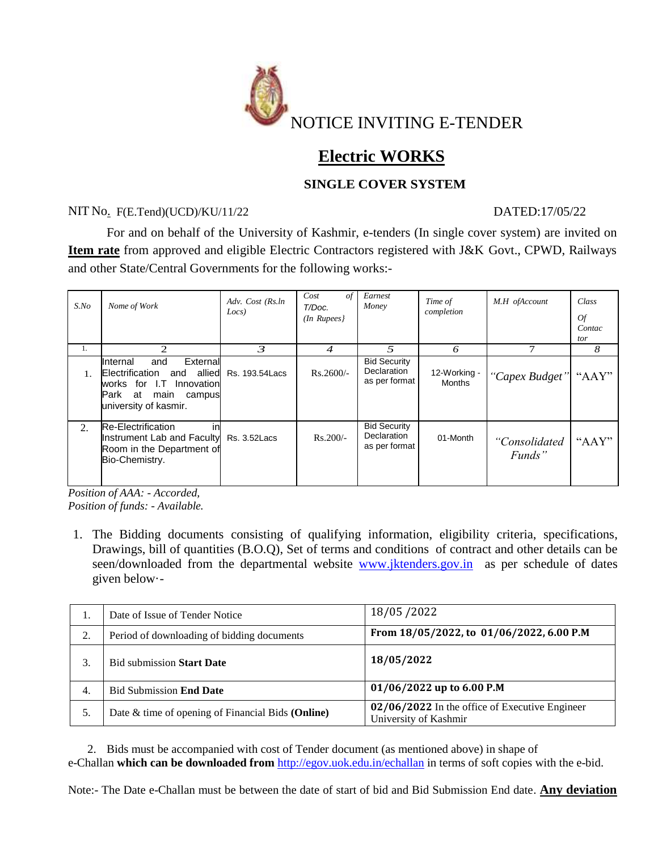

# **Electric WORKS**

# **SINGLE COVER SYSTEM**

# NIT No. F(E.Tend)(UCD)/KU/11/22 DATED:17/05/22

For and on behalf of the University of Kashmir, e-tenders (In single cover system) are invited on **Item rate** from approved and eligible Electric Contractors registered with J&K Govt., CPWD, Railways and other State/Central Governments for the following works:-

| $S$ .No | Nome of Work                                                                                                                                      | Adv. Cost (Rs.ln<br>Locs) | $\sigma f$<br>Cost<br>T/Doc.<br>$(In$ Rupees $)$ | Earnest<br>Money                                           | Time of<br>completion         | M.H ofAccount           | Class<br>0f<br>Contac<br>tor |
|---------|---------------------------------------------------------------------------------------------------------------------------------------------------|---------------------------|--------------------------------------------------|------------------------------------------------------------|-------------------------------|-------------------------|------------------------------|
| 1.      | $\mathcal{D}_{\cdot}$                                                                                                                             | 3                         | 4                                                | 5                                                          | 6                             |                         | 8                            |
| 1.      | External<br>Internal<br>and<br>and allied<br>Electrification<br>works for I.T<br>Innovation<br>Park<br>at<br>main campus<br>university of kasmir. | Rs. 193.54 Lacs           | $Rs.2600/-$                                      | <b>Bid Security</b><br><b>Declaration</b><br>as per format | 12-Working -<br><b>Months</b> | "Capex Budget"          | "AAY"                        |
| 2.      | <b>Re-Electrification</b><br>inl<br>Instrument Lab and Faculty Rs. 3.52 Lacs<br>Room in the Department of<br>Bio-Chemistry.                       |                           | $Rs.200/-$                                       | <b>Bid Security</b><br><b>Declaration</b><br>as per format | 01-Month                      | "Consolidated<br>Funds" | " $AAY$ "                    |

*Position of AAA: - Accorded, Position of funds: - Available.*

1. The Bidding documents consisting of qualifying information, eligibility criteria, specifications, Drawings, bill of quantities (B.O.Q), Set of terms and conditions of contract and other details can be seen/downloaded from the departmental website [www.jktenders.gov.in](http://www.jktenders.gov.in/) as per schedule of dates given below·-

| ı. | Date of Issue of Tender Notice                    | 18/05/2022                                                              |  |  |
|----|---------------------------------------------------|-------------------------------------------------------------------------|--|--|
| 2. | Period of downloading of bidding documents        | From 18/05/2022, to 01/06/2022, 6.00 P.M                                |  |  |
|    | <b>Bid submission Start Date</b>                  | 18/05/2022                                                              |  |  |
| 4. | <b>Bid Submission End Date</b>                    | $01/06/2022$ up to 6.00 P.M                                             |  |  |
| 5. | Date & time of opening of Financial Bids (Online) | 02/06/2022 In the office of Executive Engineer<br>University of Kashmir |  |  |

2. Bids must be accompanied with cost of Tender document (as mentioned above) in shape of e-Challan **which can be downloaded from** <http://egov.uok.edu.in/echallan> in terms of soft copies with the e-bid.

Note:- The Date e-Challan must be between the date of start of bid and Bid Submission End date. **Any deviation**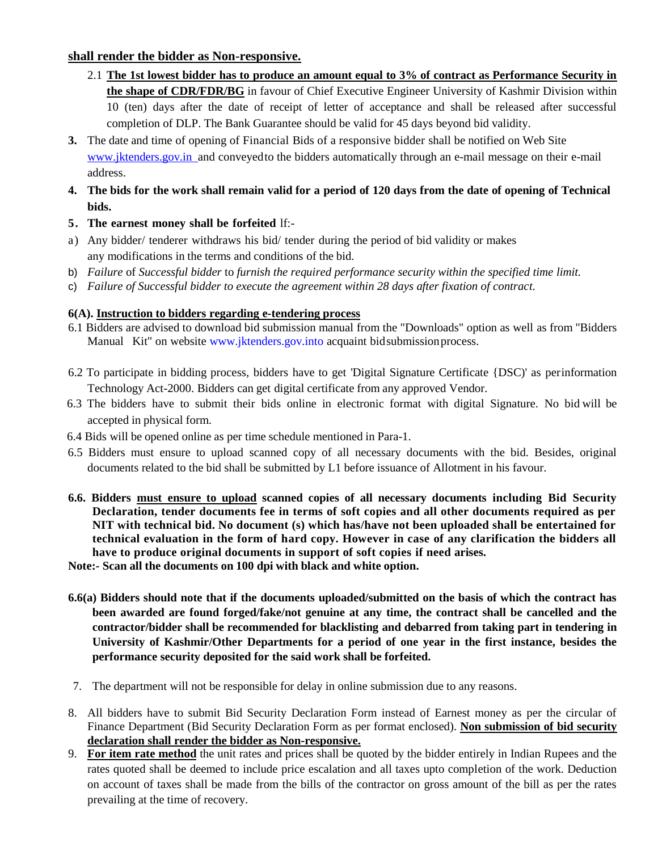# **shall render the bidder as Non-responsive.**

- 2.1 **The 1st lowest bidder has to produce an amount equal to 3% of contract as Performance Security in the shape of CDR/FDR/BG** in favour of Chief Executive Engineer University of Kashmir Division within 10 (ten) days after the date of receipt of letter of acceptance and shall be released after successful completion of DLP. The Bank Guarantee should be valid for 45 days beyond bid validity.
- **3.** The date and time of opening of Financial Bids of a responsive bidder shall be notified on Web Site www.jktenders.gov.in and conveyed to the bidders automatically through an e-mail message on their e-mail address.
- 4. The bids for the work shall remain valid for a period of 120 days from the date of opening of Technical **bids.**
- **5. The earnest money shall be forfeited** lf:-
- a) Any bidder/ tenderer withdraws his bid/ tender during the period of bid validity or makes any modifications in the terms and conditions of the bid.
- b) *Failure* of *Successful bidder* to *furnish the required performance security within the specified time limit.*
- c) *Failure of Successful bidder to execute the agreement within 28 days after fixation of contract.*

# **6(A). Instruction to bidders regarding e-tendering process**

- 6.1 Bidders are advised to download bid submission manual from the "Downloads" option as well as from "Bidders Manual Kit" on website [www.jktenders.gov.into](http://www.jktenders.gov.into/) acquaint bid submission process.
- 6.2 To participate in bidding process, bidders have to get 'Digital Signature Certificate {DSC)' as perinformation Technology Act-2000. Bidders can get digital certificate from any approved Vendor.
- 6.3 The bidders have to submit their bids online in electronic format with digital Signature. No bid will be accepted in physical form.
- 6.4 Bids will be opened online as per time schedule mentioned in Para-1.
- 6.5 Bidders must ensure to upload scanned copy of all necessary documents with the bid. Besides, original documents related to the bid shall be submitted by L1 before issuance of Allotment in his favour.
- **6.6. Bidders must ensure to upload scanned copies of all necessary documents including Bid Security Declaration, tender documents fee in terms of soft copies and all other documents required as per NIT with technical bid. No document (s) which has/have not been uploaded shall be entertained for technical evaluation in the form of hard copy. However in case of any clarification the bidders all have to produce original documents in support of soft copies if need arises.**

**Note:- Scan all the documents on 100 dpi with black and white option.**

- **6.6(a) Bidders should note that if the documents uploaded/submitted on the basis of which the contract has been awarded are found forged/fake/not genuine at any time, the contract shall be cancelled and the contractor/bidder shall be recommended for blacklisting and debarred from taking part in tendering in University of Kashmir/Other Departments for a period of one year in the first instance, besides the performance security deposited for the said work shall be forfeited.**
- 7. The department will not be responsible for delay in online submission due to any reasons.
- 8. All bidders have to submit Bid Security Declaration Form instead of Earnest money as per the circular of Finance Department (Bid Security Declaration Form as per format enclosed). **Non submission of bid security declaration shall render the bidder as Non-responsive.**
- 9. **For item rate method** the unit rates and prices shall be quoted by the bidder entirely in Indian Rupees and the rates quoted shall be deemed to include price escalation and all taxes upto completion of the work. Deduction on account of taxes shall be made from the bills of the contractor on gross amount of the bill as per the rates prevailing at the time of recovery.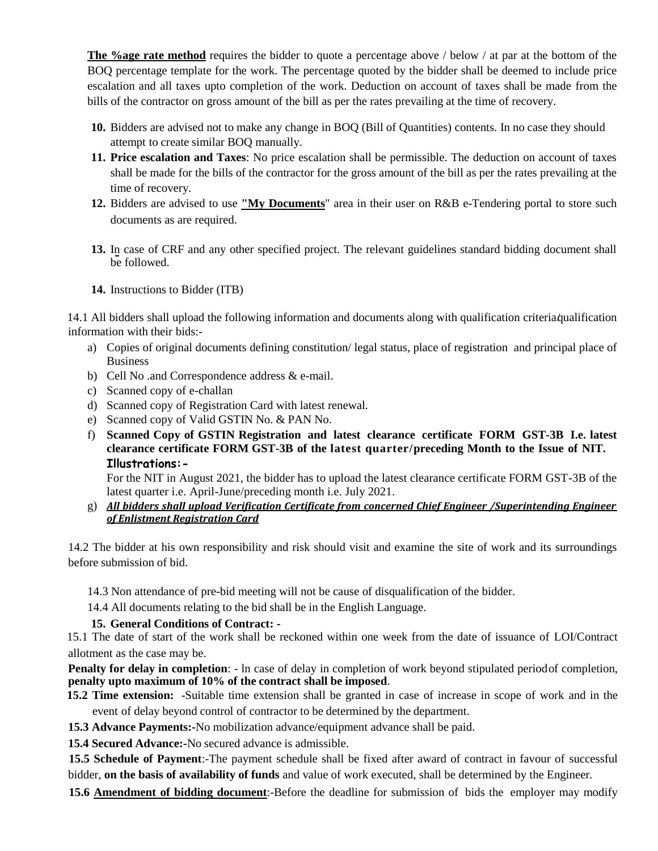**The %age rate method** requires the bidder to quote a percentage above / below / at par at the bottom of the BOQ percentage template for the work. The percentage quoted by the bidder shall be deemed to include price escalation and all taxes upto completion of the work. Deduction on account of taxes shall be made from the bills of the contractor on gross amount of the bill as per the rates prevailing at the time of recovery.

- **10.** Bidders are advised not to make any change in BOQ (Bill of Quantities) contents. In no case they should attempt to create similar BOQ manually.
- **11. Price escalation and Taxes**: No price escalation shall be permissible. The deduction on account of taxes shall be made for the bills of the contractor for the gross amount of the bill as per the rates prevailing at the time of recovery.
- **12.** Bidders are advised to use **"My Documents**" area in their user on R&B e-Tendering portal to store such documents as are required.
- **13.** In case of CRF and any other specified project. The relevant guidelines standard bidding document shall be followed.
- **14.** Instructions to Bidder (ITB)

14.1 All bidders shall upload the following information and documents along with qualification criteria/qualification information with their bids:-

- a) Copies of original documents defining constitution/ legal status, place of registration and principal place of Business
- b) Cell No .and Correspondence address & e-mail.
- c) Scanned copy of e-challan
- d) Scanned copy of Registration Card with latest renewal.
- e) Scanned copy of Valid GSTIN No. & PAN No.
- f) **Scanned Copy of GSTIN Registration and latest clearance certificate FORM GST-3B I.e. latest clearance certificate FORM GST-3B of the latest quarter/preceding Month to the Issue of NIT. Illustrations:-**

For the NIT in August 2021, the bidder has to upload the latest clearance certificate FORM GST-3B of the latest quarter i.e. April-June/preceding month i.e. July 2021.

g) *All bidders shall upload Verification Certificate from concerned Chief Engineer /Superintending Engineer of Enlistment Registration Card*

14.2 The bidder at his own responsibility and risk should visit and examine the site of work and its surroundings before submission of bid.

14.3 Non attendance of pre-bid meeting will not be cause of disqualification of the bidder.

14.4 All documents relating to the bid shall be in the English Language.

### **15. General Conditions of Contract: -**

15.1 The date of start of the work shall be reckoned within one week from the date of issuance of LOI/Contract allotment as the case may be.

**Penalty for delay in completion**: - ln case of delay in completion of work beyond stipulated periodof completion, **penalty upto maximum of 10% of the contract shall be imposed**.

**15.2 Time extension:** -Suitable time extension shall be granted in case of increase in scope of work and in the event of delay beyond control of contractor to be determined by the department.

**15.3 Advance Payments:-**No mobilization advance/equipment advance shall be paid.

**15.4 Secured Advance:-**No secured advance is admissible.

**15.5 Schedule of Payment**:-The payment schedule shall be fixed after award of contract in favour of successful bidder, **on the basis of availability of funds** and value of work executed, shall be determined by the Engineer.

**15.6 Amendment of bidding document**:-Before the deadline for submission of bids the employer may modify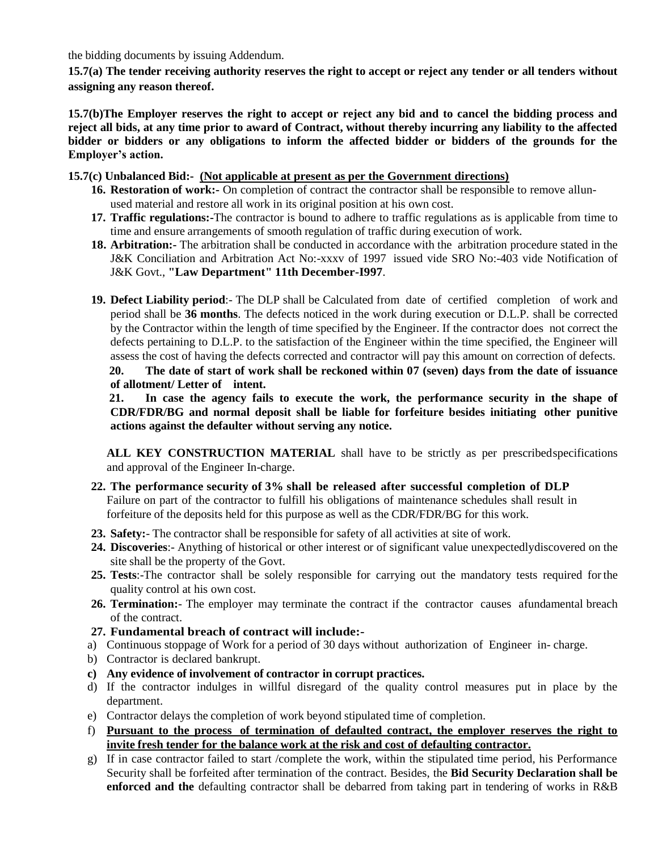the bidding documents by issuing Addendum.

**15.7(a) The tender receiving authority reserves the right to accept or reject any tender or all tenders without assigning any reason thereof.**

**15.7(b)The Employer reserves the right to accept or reject any bid and to cancel the bidding process and reject all bids, at any time prior to award of Contract, without thereby incurring any liability to the affected bidder or bidders or any obligations to inform the affected bidder or bidders of the grounds for the Employer's action.**

#### **15.7(c) Unbalanced Bid:- (Not applicable at present as per the Government directions)**

- **16. Restoration of work:-** On completion of contract the contractor shall be responsible to remove allunused material and restore all work in its original position at his own cost.
- **17. Traffic regulations:-**The contractor is bound to adhere to traffic regulations as is applicable from time to time and ensure arrangements of smooth regulation of traffic during execution of work.
- **18. Arbitration:-** The arbitration shall be conducted in accordance with the arbitration procedure stated in the J&K Conciliation and Arbitration Act No:-xxxv of 1997 issued vide SRO No:-403 vide Notification of J&K Govt., **"Law Department" 11th December-I997**.
- **19. Defect Liability period**:- The DLP shall be Calculated from date of certified completion of work and period shall be **36 months**. The defects noticed in the work during execution or D.L.P. shall be corrected by the Contractor within the length of time specified by the Engineer. If the contractor does not correct the defects pertaining to D.L.P. to the satisfaction of the Engineer within the time specified, the Engineer will assess the cost of having the defects corrected and contractor will pay this amount on correction of defects.

**20. The date of start of work shall be reckoned within 07 (seven) days from the date of issuance of allotment/ Letter of intent.** 

**21. In case the agency fails to execute the work, the performance security in the shape of CDR/FDR/BG and normal deposit shall be liable for forfeiture besides initiating other punitive actions against the defaulter without serving any notice.**

**ALL KEY CONSTRUCTION MATERIAL** shall have to be strictly as per prescribedspecifications and approval of the Engineer In-charge.

- **22. The performance security of 3% shall be released after successful completion of DLP** Failure on part of the contractor to fulfill his obligations of maintenance schedules shall result in forfeiture of the deposits held for this purpose as well as the CDR/FDR/BG for this work.
- **23. Safety:** The contractor shall be responsible for safety of all activities at site of work.
- **24. Discoveries**:- Anything of historical or other interest or of significant value unexpectedlydiscovered on the site shall be the property of the Govt.
- **25. Tests**:-The contractor shall be solely responsible for carrying out the mandatory tests required for the quality control at his own cost.
- **26. Termination:** The employer may terminate the contract if the contractor causes afundamental breach of the contract.
- **27. Fundamental breach of contract will include:-**
- a) Continuous stoppage of Work for a period of 30 days without authorization of Engineer in- charge.
- b) Contractor is declared bankrupt.
- **c) Any evidence of involvement of contractor in corrupt practices.**
- d) If the contractor indulges in willful disregard of the quality control measures put in place by the department.
- e) Contractor delays the completion of work beyond stipulated time of completion.
- f) **Pursuant to the process of termination of defaulted contract, the employer reserves the right to invite fresh tender for the balance work at the risk and cost of defaulting contractor.**
- g) If in case contractor failed to start /complete the work, within the stipulated time period, his Performance Security shall be forfeited after termination of the contract. Besides, the **Bid Security Declaration shall be enforced and the** defaulting contractor shall be debarred from taking part in tendering of works in R&B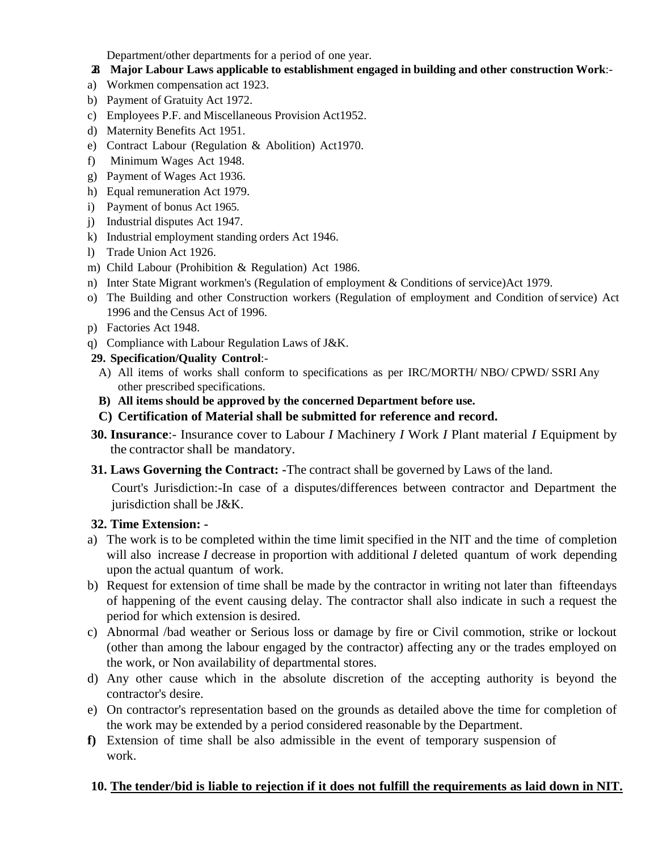Department/other departments for a period of one year.

# **28. Major Labour Laws applicable to establishment engaged in building and other construction Work**:-

- a) Workmen compensation act 1923.
- b) Payment of Gratuity Act 1972.
- c) Employees P.F. and Miscellaneous Provision Act1952.
- d) Maternity Benefits Act 1951.
- e) Contract Labour (Regulation & Abolition) Act1970.
- f) Minimum Wages Act 1948.
- g) Payment of Wages Act 1936.
- h) Equal remuneration Act 1979.
- i) Payment of bonus Act 1965.
- j) Industrial disputes Act 1947.
- k) Industrial employment standing orders Act 1946.
- l) Trade Union Act 1926.
- m) Child Labour (Prohibition & Regulation) Act 1986.
- n) Inter State Migrant workmen's (Regulation of employment & Conditions of service)Act 1979.
- o) The Building and other Construction workers (Regulation of employment and Condition ofservice) Act 1996 and the Census Act of 1996.
- p) Factories Act 1948.
- q) Compliance with Labour Regulation Laws of J&K.

# **29. Specification/Quality Control**:-

- A) All items of works shall conform to specifications as per IRC/MORTH/ NBO/ CPWD/ SSRI Any other prescribed specifications.
- **B) All items should be approved by the concerned Department before use.**
- **C) Certification of Material shall be submitted for reference and record.**
- **30. Insurance**:- Insurance cover to Labour *I* Machinery *I* Work *I* Plant material *I* Equipment by the contractor shall be mandatory.
- **31. Laws Governing the Contract: -**The contract shall be governed by Laws of the land.

Court's Jurisdiction:-In case of a disputes/differences between contractor and Department the  $i$ urisdiction shall be J&K.

### **32. Time Extension: -**

- a) The work is to be completed within the time limit specified in the NIT and the time of completion will also increase *I* decrease in proportion with additional *I* deleted quantum of work depending upon the actual quantum of work.
- b) Request for extension of time shall be made by the contractor in writing not later than fifteendays of happening of the event causing delay. The contractor shall also indicate in such a request the period for which extension is desired.
- c) Abnormal /bad weather or Serious loss or damage by fire or Civil commotion, strike or lockout (other than among the labour engaged by the contractor) affecting any or the trades employed on the work, or Non availability of departmental stores.
- d) Any other cause which in the absolute discretion of the accepting authority is beyond the contractor's desire.
- e) On contractor's representation based on the grounds as detailed above the time for completion of the work may be extended by a period considered reasonable by the Department.
- **f)** Extension of time shall be also admissible in the event of temporary suspension of work.

# **10. The tender/bid is liable to rejection if it does not fulfill the requirements as laid down in NIT.**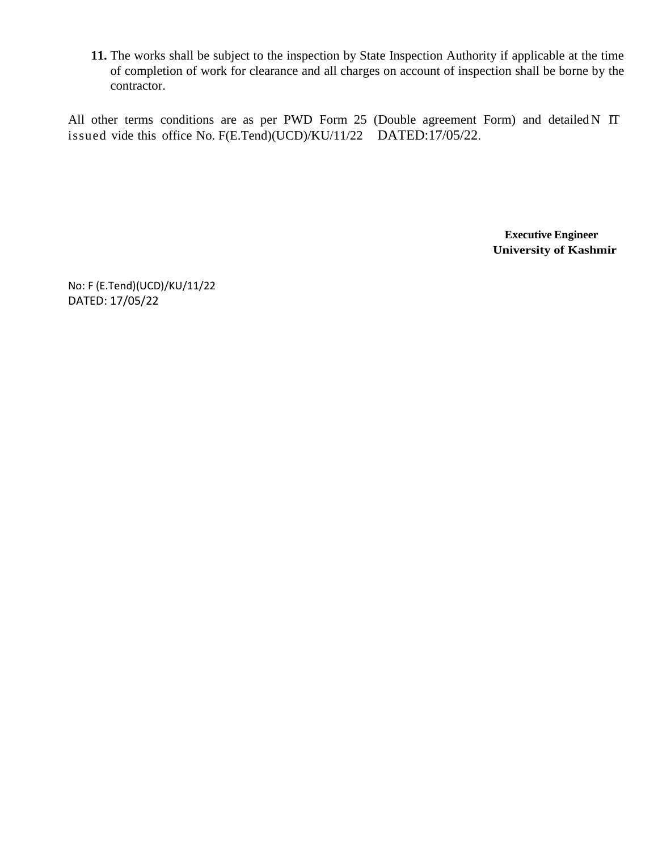**11.** The works shall be subject to the inspection by State Inspection Authority if applicable at the time of completion of work for clearance and all charges on account of inspection shall be borne by the contractor.

All other terms conditions are as per PWD Form 25 (Double agreement Form) and detailed N IT issued vide this office No. F(E.Tend)(UCD)/KU/11/22 DATED:17/05/22.

> **Executive Engineer University of Kashmir**

No: F (E.Tend)(UCD)/KU/11/22 DATED: 17/05/22